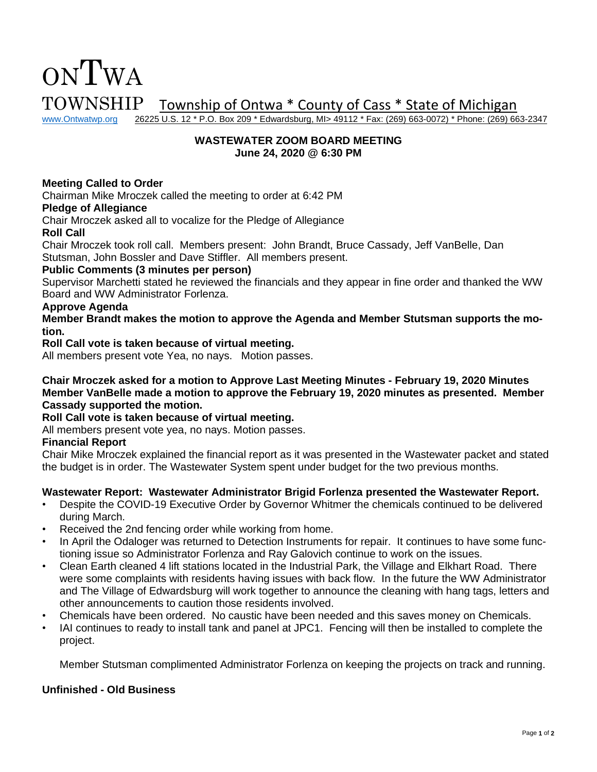# ONTWA TOWNSHIP Township of Ontwa \* County of Cass \* State of Michigan<br>www.Ontwatwp.org 26225 U.S. 12 \* P.O. Box 209 \* Edwardsburg, MI> 49112 \* Fax: (269) 663-0072) \* Phone: (269) 66

26225 U.S. 12 \* P.O. Box 209 \* Edwardsburg, MI> 49112 \* Fax: (269) 663-0072) \* Phone: (269) 663-2347

## **WASTEWATER ZOOM BOARD MEETING June 24, 2020 @ 6:30 PM**

# **Meeting Called to Order**

Chairman Mike Mroczek called the meeting to order at 6:42 PM

#### **Pledge of Allegiance**

Chair Mroczek asked all to vocalize for the Pledge of Allegiance

### **Roll Call**

Chair Mroczek took roll call. Members present: John Brandt, Bruce Cassady, Jeff VanBelle, Dan Stutsman, John Bossler and Dave Stiffler. All members present.

## **Public Comments (3 minutes per person)**

Supervisor Marchetti stated he reviewed the financials and they appear in fine order and thanked the WW Board and WW Administrator Forlenza.

#### **Approve Agenda**

**Member Brandt makes the motion to approve the Agenda and Member Stutsman supports the motion.**

**Roll Call vote is taken because of virtual meeting.** 

All members present vote Yea, no nays. Motion passes.

**Chair Mroczek asked for a motion to Approve Last Meeting Minutes - February 19, 2020 Minutes Member VanBelle made a motion to approve the February 19, 2020 minutes as presented. Member Cassady supported the motion.**

## **Roll Call vote is taken because of virtual meeting.**

All members present vote yea, no nays. Motion passes.

## **Financial Report**

Chair Mike Mroczek explained the financial report as it was presented in the Wastewater packet and stated the budget is in order. The Wastewater System spent under budget for the two previous months.

### **Wastewater Report: Wastewater Administrator Brigid Forlenza presented the Wastewater Report.**

- Despite the COVID-19 Executive Order by Governor Whitmer the chemicals continued to be delivered during March.
- Received the 2nd fencing order while working from home.
- In April the Odaloger was returned to Detection Instruments for repair. It continues to have some functioning issue so Administrator Forlenza and Ray Galovich continue to work on the issues.
- Clean Earth cleaned 4 lift stations located in the Industrial Park, the Village and Elkhart Road. There were some complaints with residents having issues with back flow. In the future the WW Administrator and The Village of Edwardsburg will work together to announce the cleaning with hang tags, letters and other announcements to caution those residents involved.
- Chemicals have been ordered. No caustic have been needed and this saves money on Chemicals.
- IAI continues to ready to install tank and panel at JPC1. Fencing will then be installed to complete the project.

Member Stutsman complimented Administrator Forlenza on keeping the projects on track and running.

### **Unfinished - Old Business**